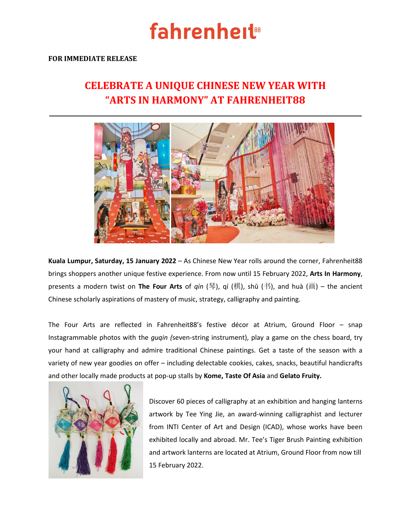# **fahrenheit<sup>®</sup>**

### **FOR IMMEDIATE RELEASE**

## **CELEBRATE A UNIQUE CHINESE NEW YEAR WITH "ARTS IN HARMONY" AT FAHRENHEIT88**



**Kuala Lumpur, Saturday, 15 January 2022** – As Chinese New Year rolls around the corner, Fahrenheit88 brings shoppers another unique festive experience. From now until 15 February 2022, **Arts In Harmony**, presents a modern twist on **The Four Arts** of *qín* (琴), qí (棋), shū (书), and huà (画) – the ancient Chinese scholarly aspirations of mastery of music, strategy, calligraphy and painting.

The Four Arts are reflected in Fahrenheit88's festive décor at Atrium, Ground Floor – snap Instagrammable photos with the *guqin (*seven-string instrument), play a game on the chess board, try your hand at calligraphy and admire traditional Chinese paintings. Get a taste of the season with a variety of new year goodies on offer – including delectable cookies, cakes, snacks, beautiful handicrafts and other locally made products at pop-up stalls by **Kome, Taste Of Asia** and **Gelato Fruity.**



Discover 60 pieces of calligraphy at an exhibition and hanging lanterns artwork by Tee Ying Jie, an award-winning calligraphist and lecturer from INTI Center of Art and Design (ICAD), whose works have been exhibited locally and abroad. Mr. Tee's Tiger Brush Painting exhibition and artwork lanterns are located at Atrium, Ground Floor from now till 15 February 2022.